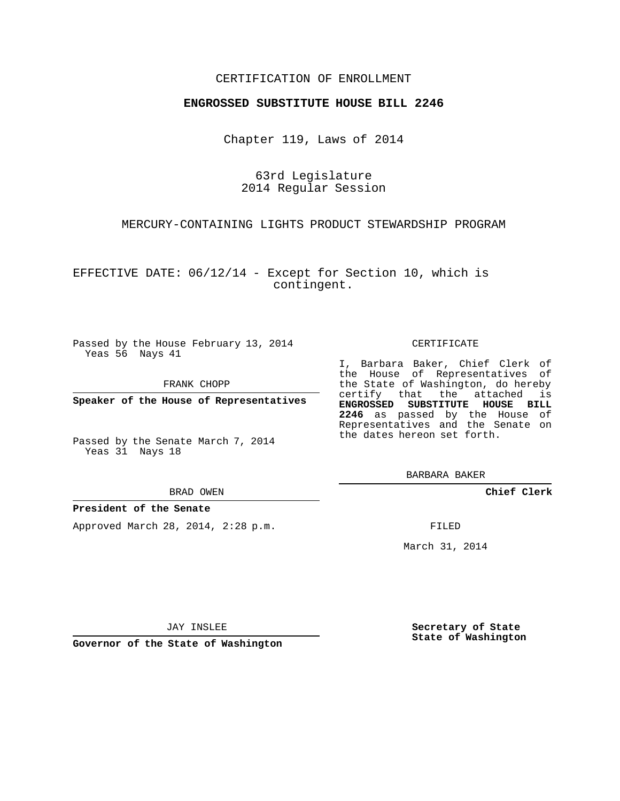### CERTIFICATION OF ENROLLMENT

#### **ENGROSSED SUBSTITUTE HOUSE BILL 2246**

Chapter 119, Laws of 2014

63rd Legislature 2014 Regular Session

MERCURY-CONTAINING LIGHTS PRODUCT STEWARDSHIP PROGRAM

EFFECTIVE DATE: 06/12/14 - Except for Section 10, which is contingent.

Passed by the House February 13, 2014 Yeas 56 Nays 41

FRANK CHOPP

**Speaker of the House of Representatives**

Passed by the Senate March 7, 2014 Yeas 31 Nays 18

BRAD OWEN

#### **President of the Senate**

Approved March 28, 2014, 2:28 p.m.

CERTIFICATE

I, Barbara Baker, Chief Clerk of the House of Representatives of the State of Washington, do hereby certify that the attached is **ENGROSSED SUBSTITUTE HOUSE BILL 2246** as passed by the House of Representatives and the Senate on the dates hereon set forth.

BARBARA BAKER

**Chief Clerk**

FILED

March 31, 2014

JAY INSLEE

**Governor of the State of Washington**

**Secretary of State State of Washington**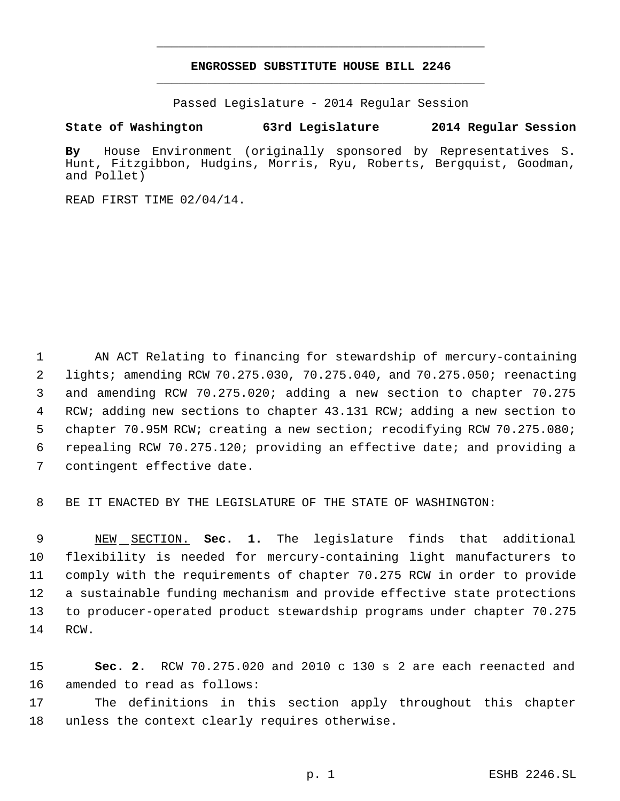## **ENGROSSED SUBSTITUTE HOUSE BILL 2246** \_\_\_\_\_\_\_\_\_\_\_\_\_\_\_\_\_\_\_\_\_\_\_\_\_\_\_\_\_\_\_\_\_\_\_\_\_\_\_\_\_\_\_\_\_

\_\_\_\_\_\_\_\_\_\_\_\_\_\_\_\_\_\_\_\_\_\_\_\_\_\_\_\_\_\_\_\_\_\_\_\_\_\_\_\_\_\_\_\_\_

Passed Legislature - 2014 Regular Session

### **State of Washington 63rd Legislature 2014 Regular Session**

**By** House Environment (originally sponsored by Representatives S. Hunt, Fitzgibbon, Hudgins, Morris, Ryu, Roberts, Bergquist, Goodman, and Pollet)

READ FIRST TIME 02/04/14.

 AN ACT Relating to financing for stewardship of mercury-containing lights; amending RCW 70.275.030, 70.275.040, and 70.275.050; reenacting and amending RCW 70.275.020; adding a new section to chapter 70.275 RCW; adding new sections to chapter 43.131 RCW; adding a new section to chapter 70.95M RCW; creating a new section; recodifying RCW 70.275.080; repealing RCW 70.275.120; providing an effective date; and providing a contingent effective date.

BE IT ENACTED BY THE LEGISLATURE OF THE STATE OF WASHINGTON:

 NEW SECTION. **Sec. 1.** The legislature finds that additional flexibility is needed for mercury-containing light manufacturers to comply with the requirements of chapter 70.275 RCW in order to provide a sustainable funding mechanism and provide effective state protections to producer-operated product stewardship programs under chapter 70.275 RCW.

 **Sec. 2.** RCW 70.275.020 and 2010 c 130 s 2 are each reenacted and amended to read as follows:

 The definitions in this section apply throughout this chapter unless the context clearly requires otherwise.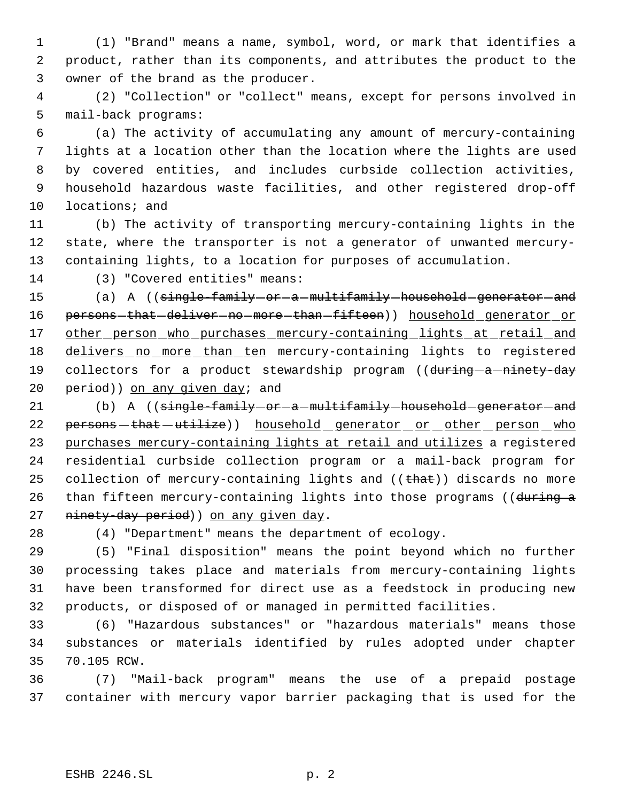(1) "Brand" means a name, symbol, word, or mark that identifies a product, rather than its components, and attributes the product to the owner of the brand as the producer.

 (2) "Collection" or "collect" means, except for persons involved in mail-back programs:

 (a) The activity of accumulating any amount of mercury-containing lights at a location other than the location where the lights are used by covered entities, and includes curbside collection activities, household hazardous waste facilities, and other registered drop-off locations; and

 (b) The activity of transporting mercury-containing lights in the state, where the transporter is not a generator of unwanted mercury-containing lights, to a location for purposes of accumulation.

(3) "Covered entities" means:

15 (a) A ((single-family-or-a-multifamily-household-generator-and 16 persons-that-deliver-no-more-than-fifteen)) household generator or 17 other person who purchases mercury-containing lights at retail and 18 delivers no more than ten mercury-containing lights to registered 19 collectors for a product stewardship program ((during-a-ninety-day 20 period)) on any given day; and

21 (b) A ((single-family-or-a-multifamily-household-generator-and 22 persons - that - utilize)) household generator or other person who purchases mercury-containing lights at retail and utilizes a registered residential curbside collection program or a mail-back program for 25 collection of mercury-containing lights and  $((that)$ ) discards no more 26 than fifteen mercury-containing lights into those programs ((during a 27 ninety-day period)) on any given day.

(4) "Department" means the department of ecology.

 (5) "Final disposition" means the point beyond which no further processing takes place and materials from mercury-containing lights have been transformed for direct use as a feedstock in producing new products, or disposed of or managed in permitted facilities.

 (6) "Hazardous substances" or "hazardous materials" means those substances or materials identified by rules adopted under chapter 70.105 RCW.

 (7) "Mail-back program" means the use of a prepaid postage container with mercury vapor barrier packaging that is used for the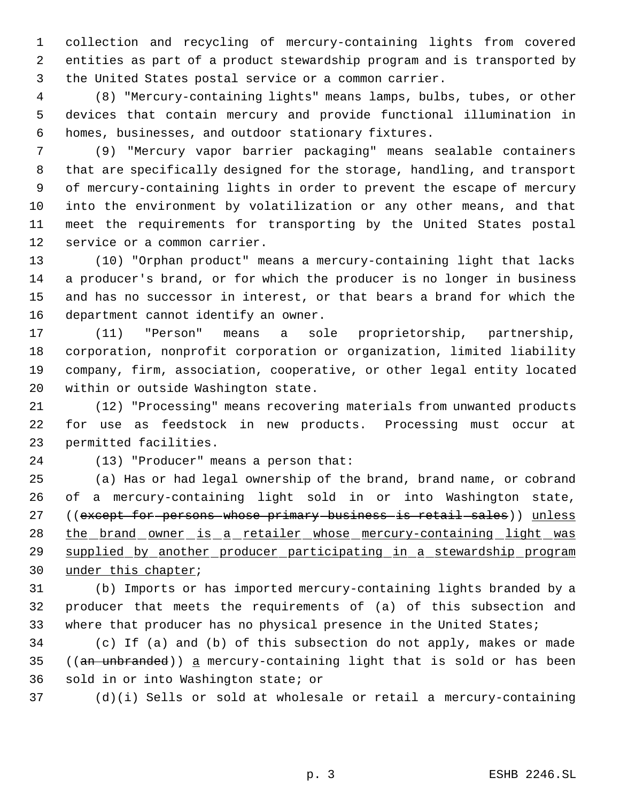collection and recycling of mercury-containing lights from covered entities as part of a product stewardship program and is transported by the United States postal service or a common carrier.

 (8) "Mercury-containing lights" means lamps, bulbs, tubes, or other devices that contain mercury and provide functional illumination in homes, businesses, and outdoor stationary fixtures.

 (9) "Mercury vapor barrier packaging" means sealable containers that are specifically designed for the storage, handling, and transport of mercury-containing lights in order to prevent the escape of mercury into the environment by volatilization or any other means, and that meet the requirements for transporting by the United States postal service or a common carrier.

 (10) "Orphan product" means a mercury-containing light that lacks a producer's brand, or for which the producer is no longer in business and has no successor in interest, or that bears a brand for which the department cannot identify an owner.

 (11) "Person" means a sole proprietorship, partnership, corporation, nonprofit corporation or organization, limited liability company, firm, association, cooperative, or other legal entity located within or outside Washington state.

 (12) "Processing" means recovering materials from unwanted products for use as feedstock in new products. Processing must occur at permitted facilities.

(13) "Producer" means a person that:

 (a) Has or had legal ownership of the brand, brand name, or cobrand of a mercury-containing light sold in or into Washington state, 27 ((except for persons whose primary business is retail sales)) unless 28 the brand owner is a retailer whose mercury-containing light was 29 supplied by another producer participating in a stewardship program under this chapter;

 (b) Imports or has imported mercury-containing lights branded by a producer that meets the requirements of (a) of this subsection and where that producer has no physical presence in the United States;

 (c) If (a) and (b) of this subsection do not apply, makes or made 35 (( $an$  unbranded)) a mercury-containing light that is sold or has been sold in or into Washington state; or

(d)(i) Sells or sold at wholesale or retail a mercury-containing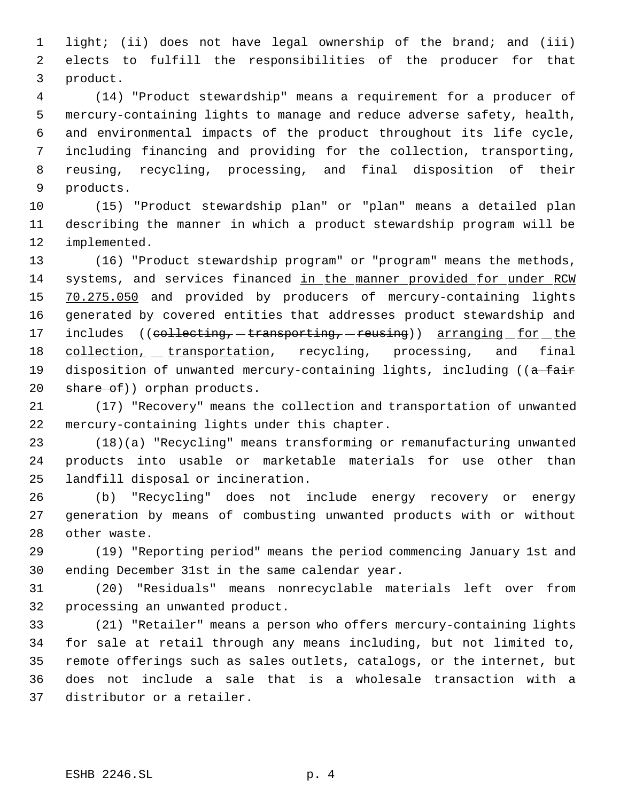light; (ii) does not have legal ownership of the brand; and (iii) elects to fulfill the responsibilities of the producer for that product.

 (14) "Product stewardship" means a requirement for a producer of mercury-containing lights to manage and reduce adverse safety, health, and environmental impacts of the product throughout its life cycle, including financing and providing for the collection, transporting, reusing, recycling, processing, and final disposition of their products.

 (15) "Product stewardship plan" or "plan" means a detailed plan describing the manner in which a product stewardship program will be implemented.

 (16) "Product stewardship program" or "program" means the methods, systems, and services financed in the manner provided for under RCW 15 70.275.050 and provided by producers of mercury-containing lights generated by covered entities that addresses product stewardship and 17 includes ((collecting, -transporting, -reusing)) arranging for the 18 collection, transportation, recycling, processing, and final 19 disposition of unwanted mercury-containing lights, including ((a fair 20 share of) orphan products.

 (17) "Recovery" means the collection and transportation of unwanted mercury-containing lights under this chapter.

 (18)(a) "Recycling" means transforming or remanufacturing unwanted products into usable or marketable materials for use other than landfill disposal or incineration.

 (b) "Recycling" does not include energy recovery or energy generation by means of combusting unwanted products with or without other waste.

 (19) "Reporting period" means the period commencing January 1st and ending December 31st in the same calendar year.

 (20) "Residuals" means nonrecyclable materials left over from processing an unwanted product.

 (21) "Retailer" means a person who offers mercury-containing lights for sale at retail through any means including, but not limited to, remote offerings such as sales outlets, catalogs, or the internet, but does not include a sale that is a wholesale transaction with a distributor or a retailer.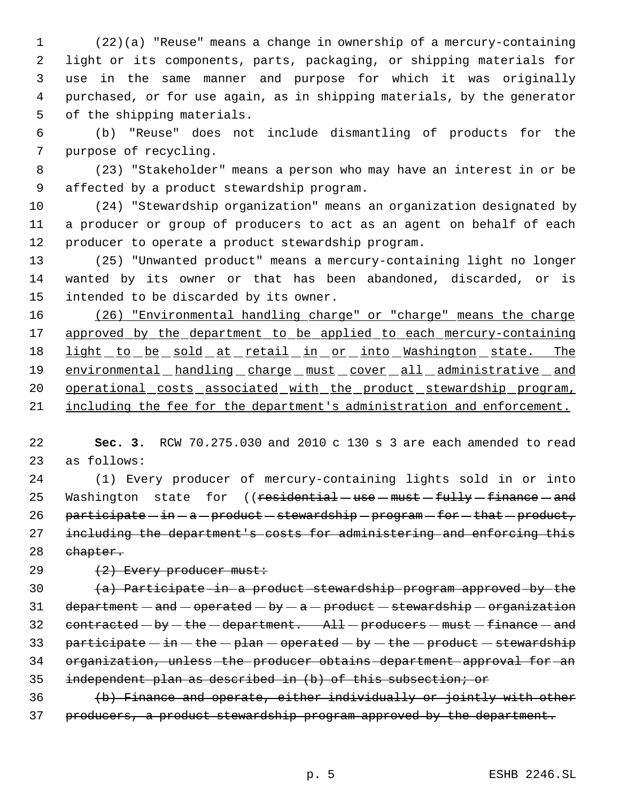(22)(a) "Reuse" means a change in ownership of a mercury-containing light or its components, parts, packaging, or shipping materials for use in the same manner and purpose for which it was originally purchased, or for use again, as in shipping materials, by the generator of the shipping materials.

 (b) "Reuse" does not include dismantling of products for the purpose of recycling.

 (23) "Stakeholder" means a person who may have an interest in or be affected by a product stewardship program.

 (24) "Stewardship organization" means an organization designated by a producer or group of producers to act as an agent on behalf of each producer to operate a product stewardship program.

 (25) "Unwanted product" means a mercury-containing light no longer wanted by its owner or that has been abandoned, discarded, or is intended to be discarded by its owner.

 (26) "Environmental handling charge" or "charge" means the charge 17 approved by the department to be applied to each mercury-containing 18 light to be sold at retail in or into Washington state. The 19 environmental handling charge must cover all administrative and 20 operational costs associated with the product stewardship program, 21 including the fee for the department's administration and enforcement.

 **Sec. 3.** RCW 70.275.030 and 2010 c 130 s 3 are each amended to read as follows:

 (1) Every producer of mercury-containing lights sold in or into 25 Washington state for ((residential - use - must - fully - finance - and 26 participate  $-$  in  $-$  a  $-$  product  $-$  stewardship  $-$  program  $-$  for  $-$  that  $-$  product, including the department's costs for administering and enforcing this chapter.

29  $(2)$  Every producer must:

 $(a)$  Participate in a product stewardship program approved by the 31 department  $-$  and  $-$  operated  $-$  by  $-$  a  $-$  product  $-$  stewardship  $-$  organization 32 contracted  $-$  by  $-$  the  $-$  department. All  $-$  producers  $-$  must  $-$  finance  $-$  and 33 participate  $-\text{in} - \text{the} - \text{plan} - \text{operated} - \text{by} - \text{the} - \text{product} - \text{stewardship}$  organization, unless the producer obtains department approval for an independent plan as described in (b) of this subsection; or (b) Finance and operate, either individually or jointly with other

37 producers, a product stewardship program approved by the department.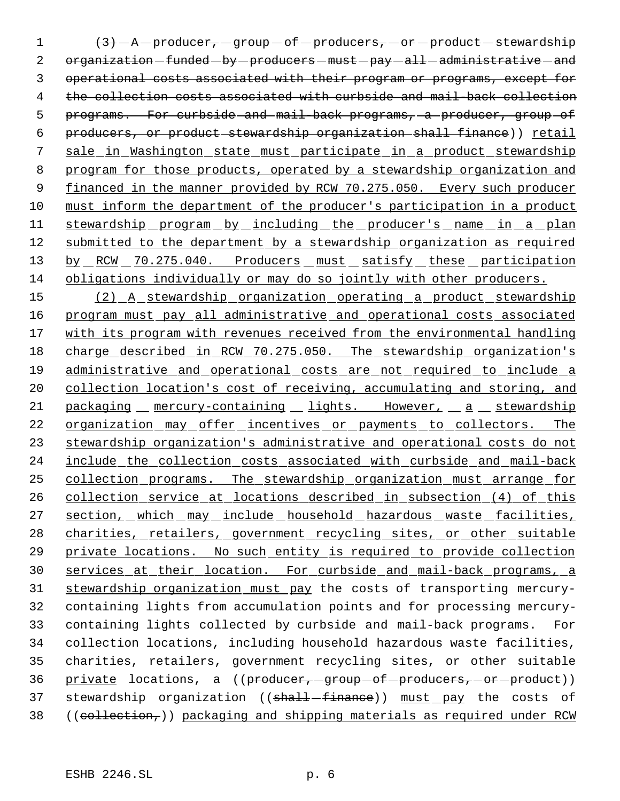$1$   $\left\{\frac{3}{7}\right\} - A -$  producer,  $-$  group  $-$  of  $-$  producers,  $-$  or  $-$  product  $-$  stewardship 2 organization - funded - by - producers - must - pay - all - administrative - and 3 operational costs associated with their program or programs, except for 4 the collection costs associated with curbside and mail-back collection 5 programs. For curbside and mail-back programs, a producer, group of 6 producers, or product stewardship organization shall finance)) retail 7 sale in Washington state must participate in a product stewardship 8 program for those products, operated by a stewardship organization and 9 financed in the manner provided by RCW 70.275.050. Every such producer 10 must inform the department of the producer's participation in a product 11 stewardship program by including the producer's name in a plan 12 submitted to the department by a stewardship organization as required 13 by RCW 70.275.040. Producers must satisfy these participation 14 obligations individually or may do so jointly with other producers.

15 (2) A stewardship organization operating a product stewardship 16 program must pay all administrative and operational costs associated 17 with its program with revenues received from the environmental handling 18 charge described in RCW 70.275.050. The stewardship organization's 19 administrative and operational costs are not required to include a 20 collection location's cost of receiving, accumulating and storing, and 21 packaging mercury-containing lights. However, a stewardship 22 organization may offer incentives or payments to collectors. The 23 stewardship organization's administrative and operational costs do not 24 include the collection costs associated with curbside and mail-back 25 collection programs. The stewardship organization must arrange for 26 collection service at locations described in subsection (4) of this 27 section, which may include household hazardous waste facilities, 28 charities, retailers, government recycling sites, or other suitable 29 private locations. No such entity is required to provide collection 30 services at their location. For curbside and mail-back programs, a 31 stewardship organization must pay the costs of transporting mercury-32 containing lights from accumulation points and for processing mercury-33 containing lights collected by curbside and mail-back programs. For 34 collection locations, including household hazardous waste facilities, 35 charities, retailers, government recycling sites, or other suitable 36 private locations, a ((producer, group of producers, or product)) 37 stewardship organization ((shall-finance)) must pay the costs of 38 ((collection,)) packaging and shipping materials as required under RCW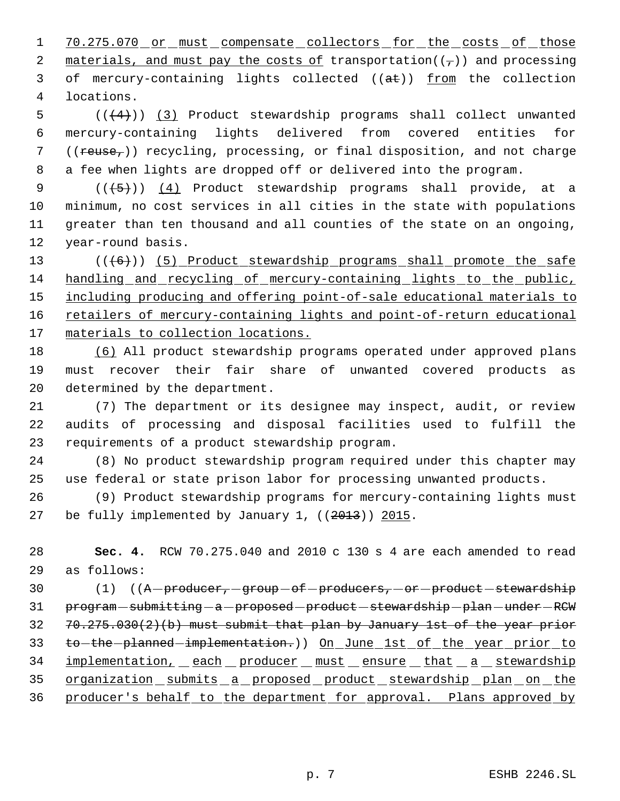1 70.275.070 or must compensate collectors for the costs of those 2 materials, and must pay the costs of transportation( $(\tau)$ ) and processing 3 of mercury-containing lights collected ((at)) from the collection 4 locations.

 $((+4))$   $(3)$  Product stewardship programs shall collect unwanted mercury-containing lights delivered from covered entities for 7 ((reuse<sub>r</sub>)) recycling, processing, or final disposition, and not charge a fee when lights are dropped off or delivered into the program.

 $((+5))$   $(4)$  Product stewardship programs shall provide, at a minimum, no cost services in all cities in the state with populations greater than ten thousand and all counties of the state on an ongoing, year-round basis.

13 (((6)) (5) Product stewardship programs shall promote the safe 14 handling and recycling of mercury-containing lights to the public, 15 including producing and offering point-of-sale educational materials to 16 retailers of mercury-containing lights and point-of-return educational 17 materials to collection locations.

18 (6) All product stewardship programs operated under approved plans 19 must recover their fair share of unwanted covered products as 20 determined by the department.

21 (7) The department or its designee may inspect, audit, or review 22 audits of processing and disposal facilities used to fulfill the 23 requirements of a product stewardship program.

24 (8) No product stewardship program required under this chapter may 25 use federal or state prison labor for processing unwanted products.

26 (9) Product stewardship programs for mercury-containing lights must 27 be fully implemented by January 1, ((2013)) 2015.

28 **Sec. 4.** RCW 70.275.040 and 2010 c 130 s 4 are each amended to read 29 as follows:

30 (1) ((A producer, group of producers, or product stewardship 31 program - submitting - a - proposed - product - stewardship - plan - under - RCW  $32$   $70.275.030(2)(b)$  must submit that plan by January 1st of the year prior 33 to-the-planned-implementation.)) On June 1st of the year prior to 34 implementation, each producer must ensure that a stewardship 35 organization submits a proposed product stewardship plan on the 36 producer's behalf to the department for approval. Plans approved by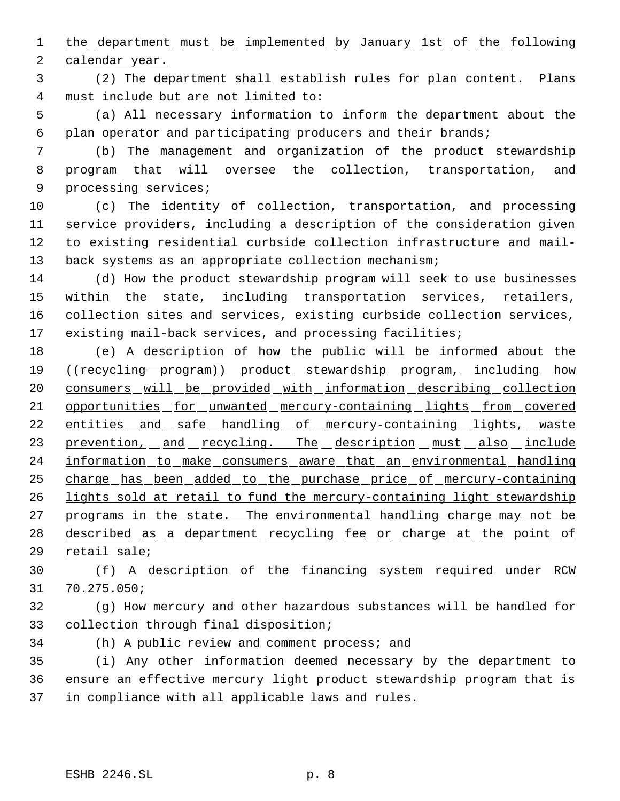the department must be implemented by January 1st of the following

calendar year.

 (2) The department shall establish rules for plan content. Plans must include but are not limited to:

 (a) All necessary information to inform the department about the plan operator and participating producers and their brands;

 (b) The management and organization of the product stewardship program that will oversee the collection, transportation, and processing services;

 (c) The identity of collection, transportation, and processing service providers, including a description of the consideration given to existing residential curbside collection infrastructure and mail-13 back systems as an appropriate collection mechanism;

 (d) How the product stewardship program will seek to use businesses within the state, including transportation services, retailers, collection sites and services, existing curbside collection services, existing mail-back services, and processing facilities;

 (e) A description of how the public will be informed about the 19 ((recycling - program)) product stewardship program, including how consumers will be provided with information describing collection 21 opportunities for unwanted mercury-containing lights from covered 22 entities and safe handling of mercury-containing lights, waste 23 prevention, and recycling. The description must also include 24 information to make consumers aware that an environmental handling charge has been added to the purchase price of mercury-containing lights sold at retail to fund the mercury-containing light stewardship 27 programs in the state. The environmental handling charge may not be 28 described as a department recycling fee or charge at the point of retail sale;

 (f) A description of the financing system required under RCW 70.275.050;

 (g) How mercury and other hazardous substances will be handled for collection through final disposition;

(h) A public review and comment process; and

 (i) Any other information deemed necessary by the department to ensure an effective mercury light product stewardship program that is in compliance with all applicable laws and rules.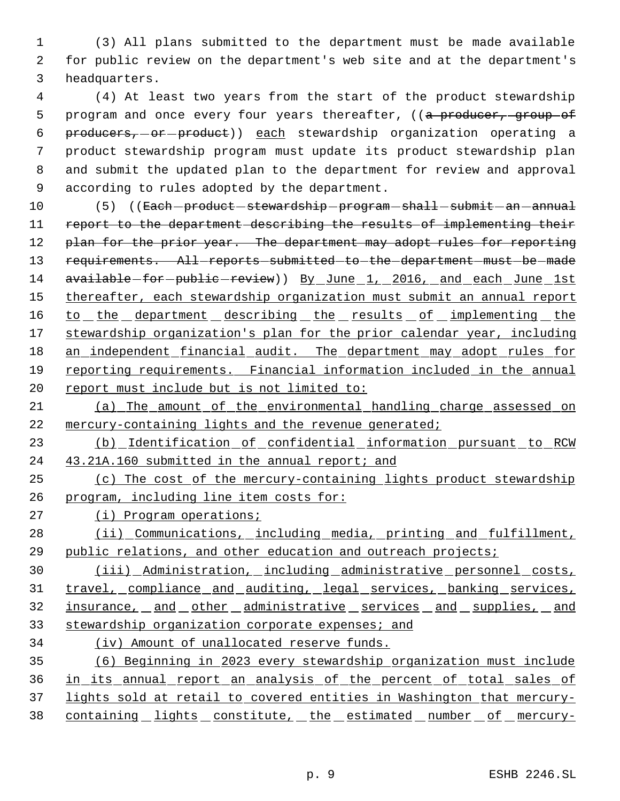1 (3) All plans submitted to the department must be made available 2 for public review on the department's web site and at the department's 3 headquarters.

 (4) At least two years from the start of the product stewardship 5 program and once every four years thereafter, ((a producer, group of 6 producers, or product)) each stewardship organization operating a product stewardship program must update its product stewardship plan and submit the updated plan to the department for review and approval according to rules adopted by the department.

10 (5) ((<del>Each product stewardship program shall submit an annual</del> 11 report to the department describing the results of implementing their 12 plan for the prior year. The department may adopt rules for reporting 13 requirements. All-reports-submitted-to-the-department-must-be-made 14 available-for-public-review)) By June 1, 2016, and each June 1st 15 thereafter, each stewardship organization must submit an annual report 16 to the department describing the results of implementing the 17 stewardship organization's plan for the prior calendar year, including 18 an independent financial audit. The department may adopt rules for 19 reporting requirements. Financial information included in the annual 20 report must include but is not limited to:

21 (a) The amount of the environmental handling charge assessed on 22 mercury-containing lights and the revenue generated;

23 (b) Identification of confidential information pursuant to RCW 24 43.21A.160 submitted in the annual report; and

25 (c) The cost of the mercury-containing lights product stewardship 26 program, including line item costs for:

27 (i) Program operations;

28 (ii) Communications, including media, printing and fulfillment, 29 public relations, and other education and outreach projects;

30 (iii) Administration, including administrative personnel costs, 31 travel, compliance and auditing, legal services, banking services, 32 insurance, and other administrative services and supplies, and 33 stewardship organization corporate expenses; and

34 (iv) Amount of unallocated reserve funds.

 (6) Beginning in 2023 every stewardship organization must include in its annual report an analysis of the percent of total sales of lights sold at retail to covered entities in Washington that mercury-38 containing lights constitute, the estimated number of mercury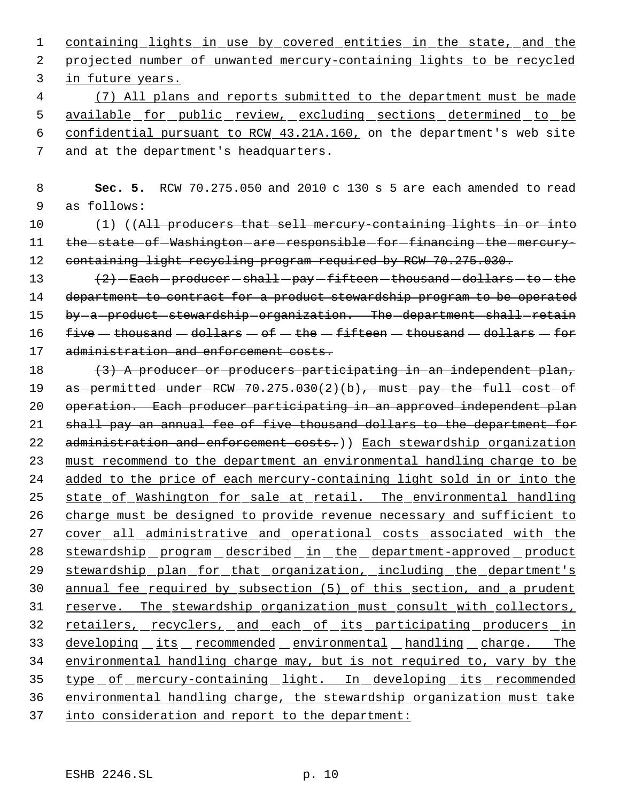1 containing lights in use by covered entities in the state, and the 2 projected number of unwanted mercury-containing lights to be recycled 3 in future years.

 (7) All plans and reports submitted to the department must be made 5 available for public review, excluding sections determined to be confidential pursuant to RCW 43.21A.160, on the department's web site and at the department's headquarters.

 8 **Sec. 5.** RCW 70.275.050 and 2010 c 130 s 5 are each amended to read 9 as follows:

10 (1) ((All producers that sell mercury-containing lights in or into 11 the state of Washington are responsible for financing the mercury-12 containing light recycling program required by RCW 70.275.030.

13  $(2)$  - Each - producer - shall - pay - fifteen - thousand - dollars - to - the 14 department to contract for a product stewardship program to be operated 15 by -a product -stewardship -organization. The -department -shall -retain 16  $five - thousand - dollars - of - the - fifteen - thousand - dollars - for$ 17 administration and enforcement costs.

18 (3) A producer or producers participating in an independent plan, 19 as permitted - under - RCW - 70.275.030(2)(b), - must - pay - the - full - cost - of 20 operation. Each producer participating in an approved independent plan 21 shall pay an annual fee of five thousand dollars to the department for 22 administration and enforcement costs.)) Each stewardship organization 23 must recommend to the department an environmental handling charge to be 24 added to the price of each mercury-containing light sold in or into the 25 state of Washington for sale at retail. The environmental handling 26 charge must be designed to provide revenue necessary and sufficient to 27 cover all administrative and operational costs associated with the 28 stewardship program described in the department-approved product 29 stewardship plan for that organization, including the department's 30 annual fee required by subsection (5) of this section, and a prudent 31 reserve. The stewardship organization must consult with collectors, 32 retailers, recyclers, and each of its participating producers in 33 developing its recommended environmental handling charge. The 34 environmental handling charge may, but is not required to, vary by the 35 type of mercury-containing light. In developing its recommended 36 environmental handling charge, the stewardship organization must take 37 into consideration and report to the department: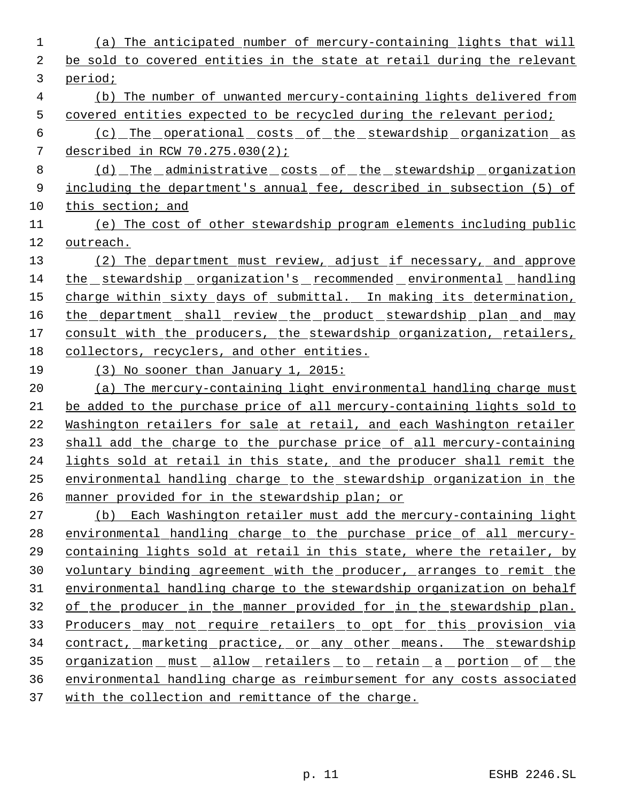| 1  | (a) The anticipated number of mercury-containing lights that will        |
|----|--------------------------------------------------------------------------|
| 2  | be sold to covered entities in the state at retail during the relevant   |
| 3  | period;                                                                  |
| 4  | (b) The number of unwanted mercury-containing lights delivered from      |
| 5  | covered entities expected to be recycled during the relevant period;     |
| 6  | <u>(c) The operational costs of the stewardship organization as</u>      |
| 7  | described in RCW $70.275.030(2)$ ;                                       |
| 8  | (d) The administrative costs of the stewardship organization             |
| 9  | including the department's annual fee, described in subsection (5) of    |
| 10 | this section; and                                                        |
| 11 | (e) The cost of other stewardship program elements including public      |
| 12 | outreach.                                                                |
| 13 | (2) The department must review, adjust if necessary, and approve         |
| 14 | the stewardship organization's recommended environmental handling        |
| 15 | charge within sixty days of submittal. In making its determination,      |
| 16 | the department shall review the product stewardship plan and may         |
| 17 | consult with the producers, the stewardship organization, retailers,     |
| 18 | collectors, recyclers, and other entities.                               |
| 19 | $(3)$ No sooner than January 1, 2015:                                    |
| 20 | (a) The mercury-containing light environmental handling charge must      |
| 21 | be added to the purchase price of all mercury-containing lights sold to  |
| 22 | Washington retailers for sale at retail, and each Washington retailer    |
| 23 | shall add the charge to the purchase price of all mercury-containing     |
| 24 | lights sold at retail in this state, and the producer shall remit the    |
| 25 | environmental handling charge to the stewardship organization in the     |
| 26 | manner provided for in the stewardship plan; or                          |
| 27 | (b) Each Washington retailer must add the mercury-containing light       |
| 28 | environmental handling charge to the purchase price of all mercury-      |
| 29 | containing lights sold at retail in this state, where the retailer, by   |
| 30 | voluntary binding agreement with the producer, arranges to remit the     |
| 31 | environmental handling charge to the stewardship organization on behalf  |
| 32 | of the producer in the manner provided for in the stewardship plan.      |
| 33 | <u>Producers may not require retailers to opt for this provision via</u> |
| 34 | <u>contract, marketing practice, or any other means. The stewardship</u> |
| 35 | <u>organization must allow retailers to retain a portion of the</u>      |
| 36 | environmental handling charge as reimbursement for any costs associated  |
| 37 | with the collection and remittance of the charge.                        |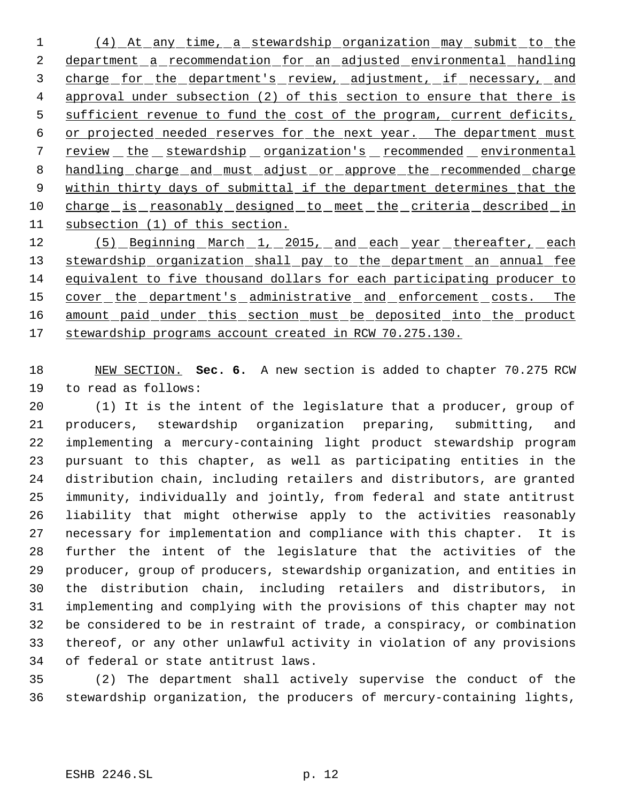(4) At any time, a stewardship organization may submit to the 2 department a recommendation for an adjusted environmental handling 3 charge for the department's review, adjustment, if necessary, and 4 approval under subsection (2) of this section to ensure that there is 5 sufficient revenue to fund the cost of the program, current deficits, or projected needed reserves for the next year. The department must 7 review the stewardship organization's recommended environmental 8 handling charge and must adjust or approve the recommended charge 9 within thirty days of submittal if the department determines that the 10 charge is reasonably designed to meet the criteria described in subsection (1) of this section.

12 (5) Beginning March 1, 2015, and each year thereafter, each 13 stewardship organization shall pay to the department an annual fee equivalent to five thousand dollars for each participating producer to 15 cover the department's administrative and enforcement costs. The 16 amount paid under this section must be deposited into the product stewardship programs account created in RCW 70.275.130.

 NEW SECTION. **Sec. 6.** A new section is added to chapter 70.275 RCW to read as follows:

 (1) It is the intent of the legislature that a producer, group of producers, stewardship organization preparing, submitting, and implementing a mercury-containing light product stewardship program pursuant to this chapter, as well as participating entities in the distribution chain, including retailers and distributors, are granted immunity, individually and jointly, from federal and state antitrust liability that might otherwise apply to the activities reasonably necessary for implementation and compliance with this chapter. It is further the intent of the legislature that the activities of the producer, group of producers, stewardship organization, and entities in the distribution chain, including retailers and distributors, in implementing and complying with the provisions of this chapter may not be considered to be in restraint of trade, a conspiracy, or combination thereof, or any other unlawful activity in violation of any provisions of federal or state antitrust laws.

 (2) The department shall actively supervise the conduct of the stewardship organization, the producers of mercury-containing lights,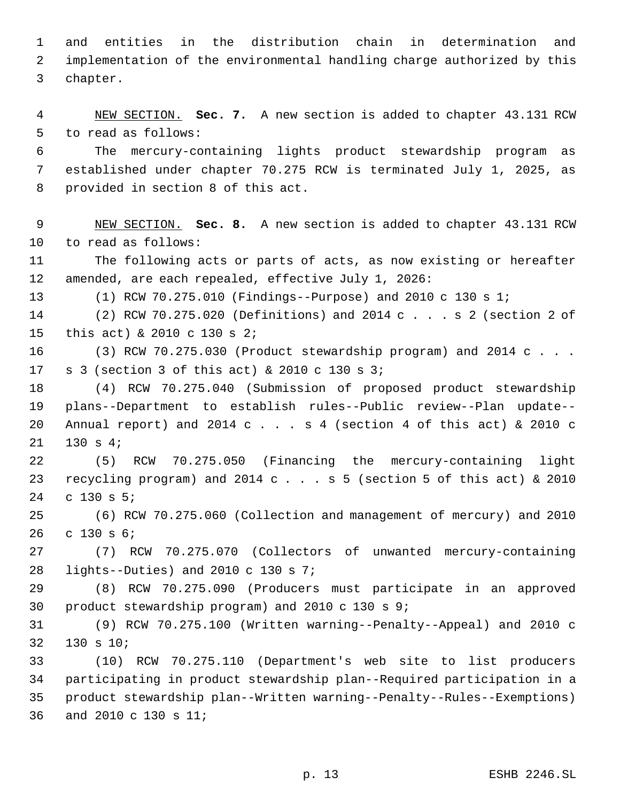and entities in the distribution chain in determination and implementation of the environmental handling charge authorized by this chapter.

 NEW SECTION. **Sec. 7.** A new section is added to chapter 43.131 RCW to read as follows:

 The mercury-containing lights product stewardship program as established under chapter 70.275 RCW is terminated July 1, 2025, as provided in section 8 of this act.

 NEW SECTION. **Sec. 8.** A new section is added to chapter 43.131 RCW to read as follows:

 The following acts or parts of acts, as now existing or hereafter amended, are each repealed, effective July 1, 2026:

(1) RCW 70.275.010 (Findings--Purpose) and 2010 c 130 s 1;

 (2) RCW 70.275.020 (Definitions) and 2014 c . . . s 2 (section 2 of this act) & 2010 c 130 s 2;

 (3) RCW 70.275.030 (Product stewardship program) and 2014 c . . . s 3 (section 3 of this act) & 2010 c 130 s 3;

 (4) RCW 70.275.040 (Submission of proposed product stewardship plans--Department to establish rules--Public review--Plan update-- Annual report) and 2014 c . . . s 4 (section 4 of this act) & 2010 c 130 s 4;

 (5) RCW 70.275.050 (Financing the mercury-containing light recycling program) and 2014 c . . . s 5 (section 5 of this act) & 2010 c 130 s 5;

 (6) RCW 70.275.060 (Collection and management of mercury) and 2010 c 130 s 6;

 (7) RCW 70.275.070 (Collectors of unwanted mercury-containing lights--Duties) and 2010 c 130 s 7;

 (8) RCW 70.275.090 (Producers must participate in an approved product stewardship program) and 2010 c 130 s 9;

 (9) RCW 70.275.100 (Written warning--Penalty--Appeal) and 2010 c 130 s 10;

 (10) RCW 70.275.110 (Department's web site to list producers participating in product stewardship plan--Required participation in a product stewardship plan--Written warning--Penalty--Rules--Exemptions) and 2010 c 130 s 11;